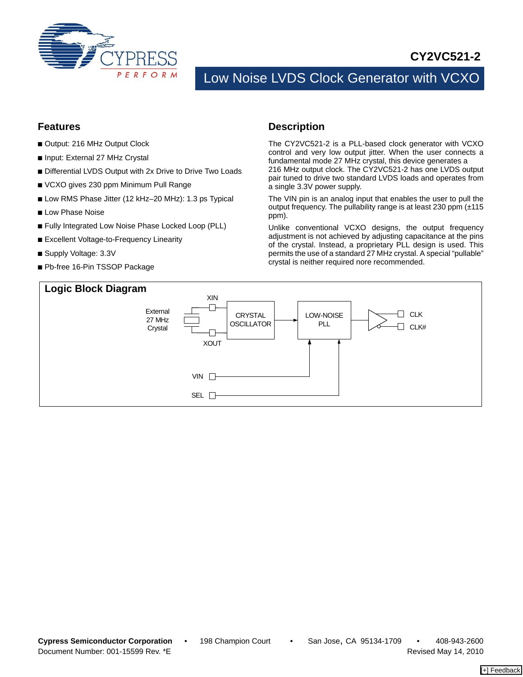

## **CY2VC521-2**

# Low Noise LVDS Clock Generator with VCXO

#### **Features**

- Output: 216 MHz Output Clock
- Input: External 27 MHz Crystal
- Differential LVDS Output with 2x Drive to Drive Two Loads
- VCXO gives 230 ppm Minimum Pull Range
- Low RMS Phase Jitter (12 kHz–20 MHz): 1.3 ps Typical
- Low Phase Noise
- Fully Integrated Low Noise Phase Locked Loop (PLL)
- Excellent Voltage-to-Frequency Linearity
- Supply Voltage: 3.3V
- Pb-free 16-Pin TSSOP Package

### **Description**

The CY2VC521-2 is a PLL-based clock generator with VCXO control and very low output jitter. When the user connects a fundamental mode 27 MHz crystal, this device generates a 216 MHz output clock. The CY2VC521-2 has one LVDS output pair tuned to drive two standard LVDS loads and operates from a single 3.3V power supply.

The VIN pin is an analog input that enables the user to pull the output frequency. The pullability range is at least 230 ppm (±115 ppm).

Unlike conventional VCXO designs, the output frequency adjustment is not achieved by adjusting capacitance at the pins of the crystal. Instead, a proprietary PLL design is used. This permits the use of a standard 27 MHz crystal. A special "pullable" crystal is neither required nore recommended.

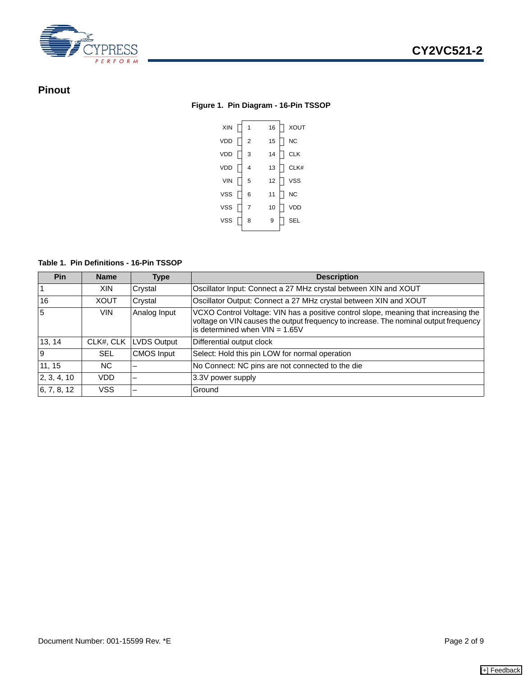

### **Pinout**

#### **Figure 1. Pin Diagram - 16-Pin TSSOP**



#### **Table 1. Pin Definitions - 16-Pin TSSOP**

| <b>Pin</b>  | <b>Name</b> | <b>Type</b>        | <b>Description</b>                                                                                                                                                                                              |
|-------------|-------------|--------------------|-----------------------------------------------------------------------------------------------------------------------------------------------------------------------------------------------------------------|
|             | <b>XIN</b>  | Crystal            | Oscillator Input: Connect a 27 MHz crystal between XIN and XOUT                                                                                                                                                 |
| 16          | <b>XOUT</b> | Crystal            | Oscillator Output: Connect a 27 MHz crystal between XIN and XOUT                                                                                                                                                |
| 5           | <b>VIN</b>  | Analog Input       | VCXO Control Voltage: VIN has a positive control slope, meaning that increasing the<br>voltage on VIN causes the output frequency to increase. The nominal output frequency<br>is determined when $VIN = 1.65V$ |
| 13, 14      | CLK#, CLK   | <b>LVDS Output</b> | Differential output clock                                                                                                                                                                                       |
| 9           | <b>SEL</b>  | <b>CMOS Input</b>  | Select: Hold this pin LOW for normal operation                                                                                                                                                                  |
| 11, 15      | NC.         |                    | No Connect: NC pins are not connected to the die                                                                                                                                                                |
| 2, 3, 4, 10 | VDD         | -                  | 3.3V power supply                                                                                                                                                                                               |
| 6, 7, 8, 12 | <b>VSS</b>  | -                  | Ground                                                                                                                                                                                                          |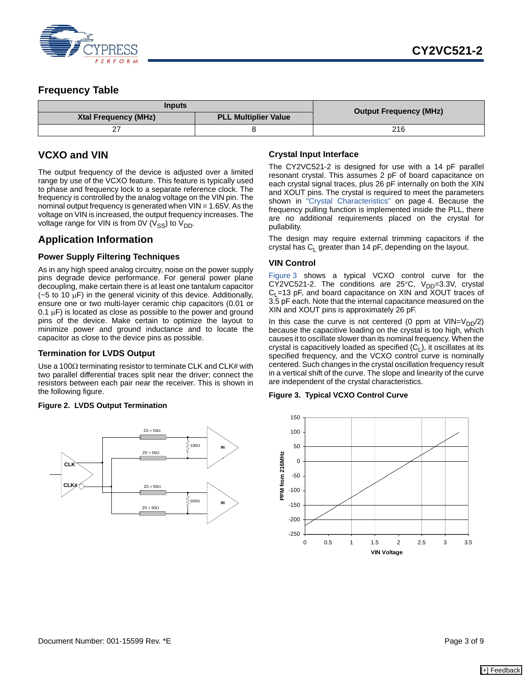

### **Frequency Table**

| Inputs                      | <b>Output Frequency (MHz)</b> |     |  |
|-----------------------------|-------------------------------|-----|--|
| <b>Xtal Frequency (MHz)</b> | <b>PLL Multiplier Value</b>   |     |  |
|                             |                               | 216 |  |

### **VCXO and VIN**

The output frequency of the device is adjusted over a limited range by use of the VCXO feature. This feature is typically used to phase and frequency lock to a separate reference clock. The frequency is controlled by the analog voltage on the VIN pin. The nominal output frequency is generated when VIN = 1.65V. As the voltage on VIN is increased, the output frequency increases. The voltage range for VIN is from 0V ( $V_{SS}$ ) to  $V_{DD}$ .

### **Application Information**

#### **Power Supply Filtering Techniques**

As in any high speed analog circuitry, noise on the power supply pins degrade device performance. For general power plane decoupling, make certain there is at least one tantalum capacitor  $(-5$  to 10  $\mu$ F) in the general vicinity of this device. Additionally, ensure one or two multi-layer ceramic chip capacitors (0.01 or  $0.1 \mu$ F) is located as close as possible to the power and ground pins of the device. Make certain to optimize the layout to minimize power and ground inductance and to locate the capacitor as close to the device pins as possible.

#### **Termination for LVDS Output**

Use a 100 $\Omega$  terminating resistor to terminate CLK and CLK# with two parallel differential traces split near the driver; connect the resistors between each pair near the receiver. This is shown in the following figure.

#### <span id="page-2-1"></span>**Figure 2. LVDS Output Termination**



#### **Crystal Input Interface**

The CY2VC521-2 is designed for use with a 14 pF parallel resonant crystal. This assumes 2 pF of board capacitance on each crystal signal traces, plus 26 pF internally on both the XIN and XOUT pins. The crystal is required to meet the parameters shown in ["Crystal Characteristics" on page 4.](#page-3-0) Because the frequency pulling function is implemented inside the PLL, there are no additional requirements placed on the crystal for pullability.

The design may require external trimming capacitors if the crystal has  $C_1$  greater than 14 pF, depending on the layout.

#### **VIN Control**

[Figure 3](#page-2-0) shows a typical VCXO control curve for the CY2VC521-2. The conditions are 25 $\degree$ C, V<sub>DD</sub>=3.3V, crystal  $C_1$ =13 pF, and board capacitance on XIN and XOUT traces of 3.5 pF each. Note that the internal capacitance measured on the XIN and XOUT pins is approximately 26 pF.

In this case the curve is not centered (0 ppm at  $VIN=V_{DD}/2$ ) because the capacitive loading on the crystal is too high, which causes it to oscillate slower than its nominal frequency. When the crystal is capacitively loaded as specified  $(C_1)$ , it oscillates at its specified frequency, and the VCXO control curve is nominally centered. Such changes in the crystal oscillation frequency result in a vertical shift of the curve. The slope and linearity of the curve are independent of the crystal characteristics.

#### <span id="page-2-0"></span>**Figure 3. Typical VCXO Control Curve**

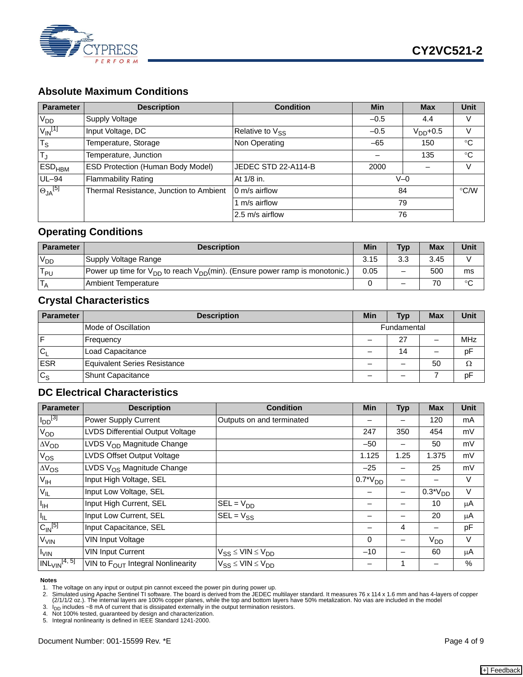

## **Absolute Maximum Conditions**

| <b>Parameter</b>            | <b>Description</b>                      | <b>Condition</b>     | <b>Min</b> | <b>Max</b>    | <b>Unit</b> |
|-----------------------------|-----------------------------------------|----------------------|------------|---------------|-------------|
| V <sub>DD</sub>             | Supply Voltage                          |                      | $-0.5$     | 4.4           | V           |
| $V_{\textsf{IN}}^{[1]}$     | Input Voltage, DC                       | Relative to $V_{SS}$ | $-0.5$     | $V_{DD}$ +0.5 | v           |
| $\overline{T_{\mathsf{S}}}$ | Temperature, Storage                    | Non Operating        | $-65$      | 150           | $^{\circ}C$ |
| T,                          | Temperature, Junction                   |                      |            | 135           | $^{\circ}C$ |
| <b>ESD<sub>HBM</sub></b>    | ESD Protection (Human Body Model)       | JEDEC STD 22-A114-B  | 2000       |               | V           |
| $UL-94$                     | <b>Flammability Rating</b>              | At 1/8 in.           | $V=0$      |               |             |
| $\Theta_{JA}$ [5]           | Thermal Resistance, Junction to Ambient | 0 m/s airflow        | 84         |               | °C/W        |
|                             |                                         | 1 m/s airflow        | 79         |               |             |
|                             |                                         | 2.5 m/s airflow      |            | 76            |             |

### **Operating Conditions**

| <b>Parameter</b> | <b>Description</b>                                                                    | <b>Min</b> | <b>Typ</b> | <b>Max</b> | Unit   |
|------------------|---------------------------------------------------------------------------------------|------------|------------|------------|--------|
| $V_{DD}$         | Supply Voltage Range                                                                  | 3.15       | 3.3        | 3.45       |        |
| T<br>l pu        | Power up time for $V_{DD}$ to reach $V_{DD}(min)$ . (Ensure power ramp is monotonic.) | 0.05       |            | 500        | ms     |
|                  | <b>Ambient Temperature</b>                                                            |            |            |            | $\sim$ |

### <span id="page-3-0"></span>**Crystal Characteristics**

| <b>Parameter</b> | <b>Description</b>           | Min         | <b>Typ</b> | <b>Max</b> | <b>Unit</b> |
|------------------|------------------------------|-------------|------------|------------|-------------|
|                  | Mode of Oscillation          | Fundamental |            |            |             |
| F                | Frequency                    |             | 27         |            | <b>MHz</b>  |
| $C_1$            | Load Capacitance             |             | 14         |            | pF          |
| <b>ESR</b>       | Equivalent Series Resistance |             |            | 50         | Ω           |
| $C_S$            | Shunt Capacitance            | –           |            |            | pF          |

### **DC Electrical Characteristics**

| Parameter              | <b>Description</b>                     | <b>Condition</b>                         | <b>Min</b>    | <b>Typ</b> | <b>Max</b>   | <b>Unit</b> |
|------------------------|----------------------------------------|------------------------------------------|---------------|------------|--------------|-------------|
| $I_{DD}$ [3]           | Power Supply Current                   | Outputs on and terminated                |               |            | 120          | mA          |
| $V_{OD}$               | LVDS Differential Output Voltage       |                                          | 247           | 350        | 454          | mV          |
| $\Delta V_{OD}$        | LVDS V <sub>OD</sub> Magnitude Change  |                                          | $-50$         |            | 50           | mV          |
| $V_{OS}$               | LVDS Offset Output Voltage             |                                          | 1.125         | 1.25       | 1.375        | mV          |
| $\Delta V_{OS}$        | LVDS $V_{OS}$ Magnitude Change         |                                          | $-25$         |            | 25           | mV          |
| V <sub>IH</sub>        | Input High Voltage, SEL                |                                          | $0.7^*V_{DD}$ |            |              | $\vee$      |
| $V_{IL}$               | Input Low Voltage, SEL                 |                                          |               |            | $0.3*V_{DD}$ | V           |
| $I_{\rm IH}$           | Input High Current, SEL                | $SEL = V_{DD}$                           |               |            | 10           | μA          |
| IL.                    | Input Low Current, SEL                 | $SEL = V_{SS}$                           | -             |            | 20           | μA          |
| $C_{\text{IN}}^{[5]}$  | Input Capacitance, SEL                 |                                          |               | 4          |              | pF          |
| <b>V<sub>VIN</sub></b> | <b>VIN Input Voltage</b>               |                                          | $\mathbf 0$   |            | $V_{DD}$     | V           |
| $I_{VIN}$              | <b>VIN Input Current</b>               | $V_{SS} \leq$ VIN $\leq$ V <sub>DD</sub> | $-10$         |            | 60           | μA          |
| $INL_{VIN}^{[4, 5]}$   | VIN to $F_{OUT}$ Integral Nonlinearity | $V_{SS} \leq$ VIN $\leq$ V <sub>DD</sub> |               |            |              | $\%$        |

#### **Notes**

<span id="page-3-1"></span>

<sup>1.</sup> The voltage on any input or output pin cannot exceed the power pin during power up.<br>2. Simulated using Apache Sentinel TI software. The board is derived from the JEDEC multilayer standard. It measures 76 x 114 x 1.6 mm

<span id="page-3-2"></span><sup>3.</sup> I<sub>DD</sub> includes ~8 mA of current that is dissipated externally in the output termination resistors.<br>4. Not 100% tested, guaranteed by design and characterization.

<span id="page-3-4"></span>

<span id="page-3-3"></span><sup>5.</sup> Integral nonlinearity is defined in IEEE Standard 1241-2000.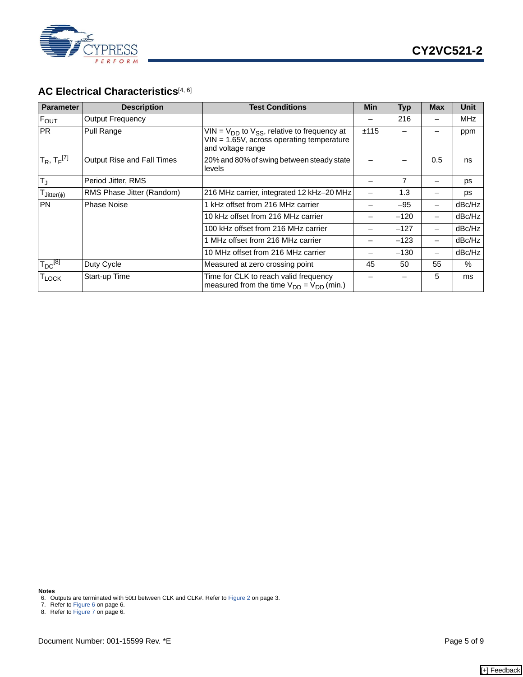

### AC Electrical Characteristics<sup>[[4,](#page-3-4) [6\]](#page-4-2)</sup>

| <b>Parameter</b>                 | <b>Description</b>         | <b>Test Conditions</b>                                                                                                  | <b>Min</b> | <b>Typ</b> | <b>Max</b> | <b>Unit</b> |
|----------------------------------|----------------------------|-------------------------------------------------------------------------------------------------------------------------|------------|------------|------------|-------------|
| $F_{OUT}$                        | Output Frequency           |                                                                                                                         |            | 216        |            | <b>MHz</b>  |
| <b>PR</b>                        | Pull Range                 | VIN = $V_{DD}$ to $V_{SS}$ , relative to frequency at<br>VIN = 1.65V, across operating temperature<br>and voltage range | ±115       |            |            | ppm         |
| $T_R$ , $T_F^{[7]}$              | Output Rise and Fall Times | 20% and 80% of swing between steady state<br>levels                                                                     |            |            | 0.5        | ns          |
| $T_J$                            | Period Jitter, RMS         |                                                                                                                         |            | 7          |            | ps          |
| $T_{\text{Jitter}(\phi)}$        | RMS Phase Jitter (Random)  | 216 MHz carrier, integrated 12 kHz-20 MHz                                                                               |            | 1.3        |            | ps          |
| <b>PN</b>                        | <b>Phase Noise</b>         | 1 kHz offset from 216 MHz carrier                                                                                       |            | $-95$      |            | dBc/Hz      |
|                                  |                            | 10 kHz offset from 216 MHz carrier                                                                                      |            | $-120$     |            | dBc/Hz      |
|                                  |                            | 100 kHz offset from 216 MHz carrier                                                                                     |            | $-127$     |            | dBc/Hz      |
|                                  |                            | 1 MHz offset from 216 MHz carrier                                                                                       |            | $-123$     | -          | dBc/Hz      |
|                                  |                            | 10 MHz offset from 216 MHz carrier                                                                                      |            | $-130$     |            | dBc/Hz      |
| $\mathsf{T}_{\mathsf{DC}}^{[8]}$ | Duty Cycle                 | Measured at zero crossing point                                                                                         | 45         | 50         | 55         | %           |
| $\mathsf{T}_{\mathsf{LOCK}}$     | Start-up Time              | Time for CLK to reach valid frequency<br>measured from the time $V_{DD} = V_{DD}$ (min.)                                |            |            | 5          | ms          |

**Notes**

<span id="page-4-2"></span>6. Outputs are terminated with 50Ω between CLK and CLK#. Refer to [Figure 2 on page 3.](#page-2-1) 7. Refer to [Figure 6 on page 6](#page-5-0).

<span id="page-4-0"></span>

<span id="page-4-1"></span>8. Refer to [Figure 7 on page 6](#page-5-1).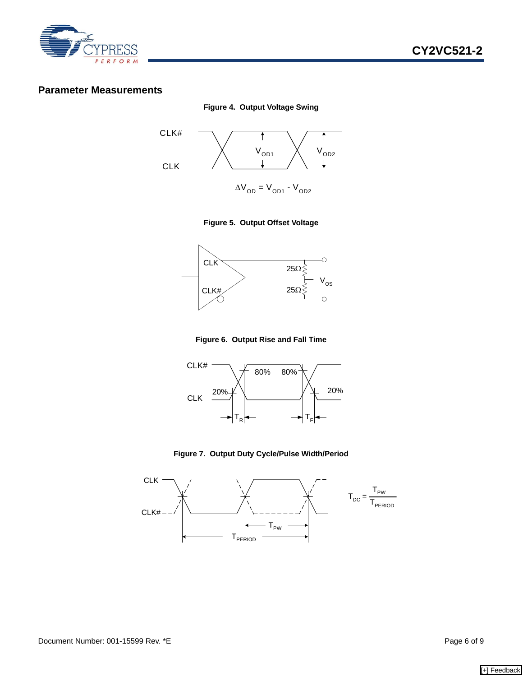

### **Parameter Measurements**



**Figure 4. Output Voltage Swing**

#### **Figure 5. Output Offset Voltage**



**Figure 6. Output Rise and Fall Time**

<span id="page-5-0"></span>

**Figure 7. Output Duty Cycle/Pulse Width/Period**

<span id="page-5-1"></span>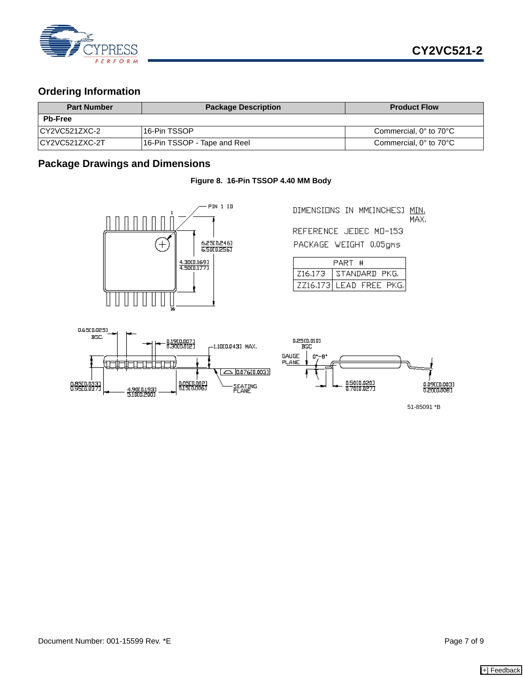

### **Ordering Information**

| <b>Part Number</b> | <b>Package Description</b>   | <b>Product Flow</b>    |
|--------------------|------------------------------|------------------------|
| <b>Pb-Free</b>     |                              |                        |
| ICY2VC521ZXC-2     | l 16-Pin TSSOP               | Commercial, 0° to 70°C |
| ICY2VC521ZXC-2T    | 16-Pin TSSOP - Tape and Reel | Commercial, 0° to 70°C |

### **Package Drawings and Dimensions**

#### **Figure 8. 16-Pin TSSOP 4.40 MM Body**



DIMENSIONS IN MMEINCHESI MIN. MAX. REFERENCE JEDEC MD-153

PACKAGE WEIGHT 0.05gms

| PART #  |                         |  |  |  |  |
|---------|-------------------------|--|--|--|--|
| Z16.173 | STANDARD PKG.           |  |  |  |  |
|         | ZZ16.173 LEAD FREE PKG. |  |  |  |  |



51-85091 \*B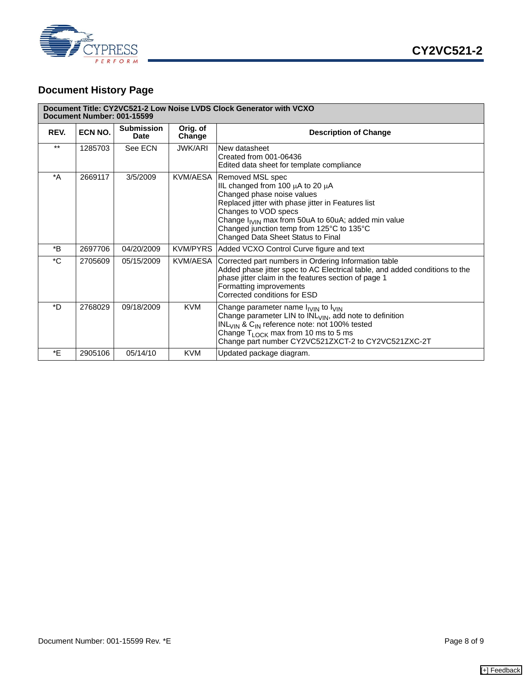

## **Document History Page**

|              | Document Title: CY2VC521-2 Low Noise LVDS Clock Generator with VCXO<br>Document Number: 001-15599 |                                  |                    |                                                                                                                                                                                                                                                                                                                                                     |  |  |  |  |
|--------------|---------------------------------------------------------------------------------------------------|----------------------------------|--------------------|-----------------------------------------------------------------------------------------------------------------------------------------------------------------------------------------------------------------------------------------------------------------------------------------------------------------------------------------------------|--|--|--|--|
| REV.         | ECN NO.                                                                                           | <b>Submission</b><br><b>Date</b> | Orig. of<br>Change | <b>Description of Change</b>                                                                                                                                                                                                                                                                                                                        |  |  |  |  |
| $***$        | 1285703                                                                                           | See ECN                          | <b>JWK/ARI</b>     | New datasheet<br>Created from 001-06436<br>Edited data sheet for template compliance                                                                                                                                                                                                                                                                |  |  |  |  |
| $^*A$        | 2669117                                                                                           | 3/5/2009                         |                    | KVM/AESA Removed MSL spec<br>IIL changed from 100 µA to 20 µA<br>Changed phase noise values<br>Replaced jitter with phase jitter in Features list<br>Changes to VOD specs<br>Change I <sub>IVIN</sub> max from 50uA to 60uA; added min value<br>Changed junction temp from $125^{\circ}$ C to $135^{\circ}$ C<br>Changed Data Sheet Status to Final |  |  |  |  |
| *B           | 2697706                                                                                           | 04/20/2009                       |                    | KVM/PYRS   Added VCXO Control Curve figure and text                                                                                                                                                                                                                                                                                                 |  |  |  |  |
| $^{\star}$ C | 2705609                                                                                           | 05/15/2009                       |                    | KVM/AESA Corrected part numbers in Ordering Information table<br>Added phase jitter spec to AC Electrical table, and added conditions to the<br>phase jitter claim in the features section of page 1<br>Formatting improvements<br>Corrected conditions for ESD                                                                                     |  |  |  |  |
| *D           | 2768029                                                                                           | 09/18/2009                       | <b>KVM</b>         | Change parameter name $I_{IVIN}$ to $I_{VIN}$<br>Change parameter LIN to INL <sub>VIN</sub> , add note to definition<br>INL <sub>VIN</sub> & C <sub>IN</sub> reference note: not 100% tested<br>Change $T_{\text{LOCK}}$ max from 10 ms to 5 ms<br>Change part number CY2VC521ZXCT-2 to CY2VC521ZXC-2T                                              |  |  |  |  |
| *E           | 2905106                                                                                           | 05/14/10                         | <b>KVM</b>         | Updated package diagram.                                                                                                                                                                                                                                                                                                                            |  |  |  |  |